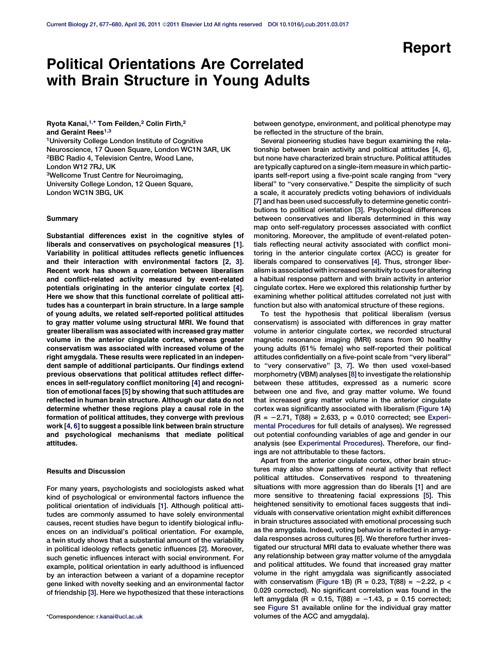# Report

# <span id="page-0-0"></span>Political Orientations Are Correlated with Brain Structure in Young Adults

# Ryota Kanai,<sup>1,\*</sup> Tom Feilden,<sup>2</sup> Colin Firth,<sup>2</sup> and Geraint Rees<sup>1,3</sup>

1University College London Institute of Cognitive Neuroscience, 17 Queen Square, London WC1N 3AR, UK 2BBC Radio 4, Television Centre, Wood Lane, London W12 7RJ, UK 3Wellcome Trust Centre for Neuroimaging, University College London, 12 Queen Square, London WC1N 3BG, UK

## Summary

Substantial differences exist in the cognitive styles of liberals and conservatives on psychological measures [[1](#page-3-0)]. Variability in political attitudes reflects genetic influences and their interaction with environmental factors [[2, 3](#page-3-0)]. Recent work has shown a correlation between liberalism and conflict-related activity measured by event-related potentials originating in the anterior cingulate cortex [[4](#page-3-0)]. Here we show that this functional correlate of political attitudes has a counterpart in brain structure. In a large sample of young adults, we related self-reported political attitudes to gray matter volume using structural MRI. We found that greater liberalism was associated with increased gray matter volume in the anterior cingulate cortex, whereas greater conservatism was associated with increased volume of the right amygdala. These results were replicated in an independent sample of additional participants. Our findings extend previous observations that political attitudes reflect differences in self-regulatory conflict monitoring [\[4\]](#page-3-0) and recognition of emotional faces [[5\]](#page-3-0) by showing that such attitudes are reflected in human brain structure. Although our data do not determine whether these regions play a causal role in the formation of political attitudes, they converge with previous work [[4, 6](#page-3-0)] to suggest a possible link between brain structure and psychological mechanisms that mediate political attitudes.

## Results and Discussion

For many years, psychologists and sociologists asked what kind of psychological or environmental factors influence the political orientation of individuals [\[1](#page-3-0)]. Although political attitudes are commonly assumed to have solely environmental causes, recent studies have begun to identify biological influences on an individual's political orientation. For example, a twin study shows that a substantial amount of the variability in political ideology reflects genetic influences [[2](#page-3-0)]. Moreover, such genetic influences interact with social environment. For example, political orientation in early adulthood is influenced by an interaction between a variant of a dopamine receptor gene linked with novelty seeking and an environmental factor of friendship [\[3](#page-3-0)]. Here we hypothesized that these interactions between genotype, environment, and political phenotype may be reflected in the structure of the brain.

Several pioneering studies have begun examining the relationship between brain activity and political attitudes [\[4, 6\]](#page-3-0), but none have characterized brain structure. Political attitudes are typically captured on a single-item measure in which participants self-report using a five-point scale ranging from ''very liberal'' to ''very conservative.'' Despite the simplicity of such a scale, it accurately predicts voting behaviors of individuals [[7\]](#page-3-0) and has been used successfully to determine genetic contributions to political orientation [[3](#page-3-0)]. Psychological differences between conservatives and liberals determined in this way map onto self-regulatory processes associated with conflict monitoring. Moreover, the amplitude of event-related potentials reflecting neural activity associated with conflict monitoring in the anterior cingulate cortex (ACC) is greater for liberals compared to conservatives [[4](#page-3-0)]. Thus, stronger liberalism is associated with increased sensitivity to cues for altering a habitual response pattern and with brain activity in anterior cingulate cortex. Here we explored this relationship further by examining whether political attitudes correlated not just with function but also with anatomical structure of these regions.

To test the hypothesis that political liberalism (versus conservatism) is associated with differences in gray matter volume in anterior cingulate cortex, we recorded structural magnetic resonance imaging (MRI) scans from 90 healthy young adults (61% female) who self-reported their political attitudes confidentially on a five-point scale from ''very liberal'' to ''very conservative'' [[3, 7](#page-3-0)]. We then used voxel-based morphometry (VBM) analyses [[8\]](#page-3-0) to investigate the relationship between these attitudes, expressed as a numeric score between one and five, and gray matter volume. We found that increased gray matter volume in the anterior cingulate cortex was significantly associated with liberalism ([Figure 1A](#page-1-0))  $(R = -2.71, T(88) = 2.633, p = 0.010$  corrected; see [Experi](#page-2-0)[mental Procedures](#page-2-0) for full details of analyses). We regressed out potential confounding variables of age and gender in our analysis (see [Experimental Procedures](#page-2-0)). Therefore, our findings are not attributable to these factors.

Apart from the anterior cingulate cortex, other brain structures may also show patterns of neural activity that reflect political attitudes. Conservatives respond to threatening situations with more aggression than do liberals [[1](#page-3-0)] and are more sensitive to threatening facial expressions [[5](#page-3-0)]. This heightened sensitivity to emotional faces suggests that individuals with conservative orientation might exhibit differences in brain structures associated with emotional processing such as the amygdala. Indeed, voting behavior is reflected in amygdala responses across cultures [\[6\]](#page-3-0). We therefore further investigated our structural MRI data to evaluate whether there was any relationship between gray matter volume of the amygdala and political attitudes. We found that increased gray matter volume in the right amygdala was significantly associated with conservatism [\(Figure 1](#page-1-0)B) (R = 0.23,  $T(88) = -2.22$ , p < 0.029 corrected). No significant correlation was found in the left amygdala (R = 0.15,  $T(88) = -1.43$ , p = 0.15 corrected; see [Figure S1](#page-2-0) available online for the individual gray matter \*Correspondence: [r.kanai@ucl.ac.uk](mailto:r.kanai@ucl.ac.uk) volumes of the ACC and amygdala).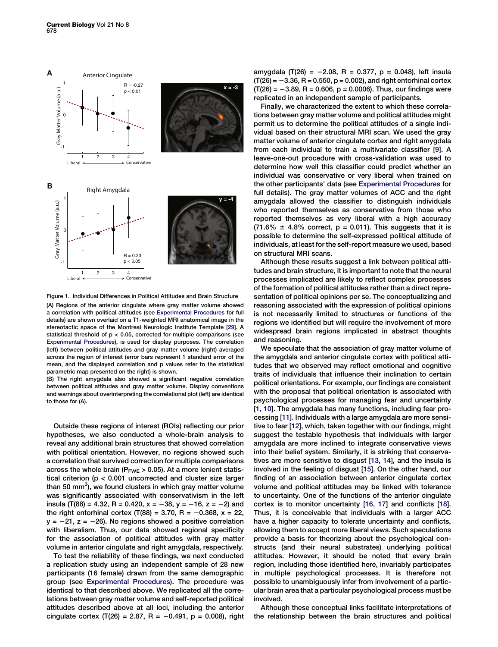<span id="page-1-0"></span>

Figure 1. Individual Differences in Political Attitudes and Brain Structure

(A) Regions of the anterior cingulate where gray matter volume showed a correlation with political attitudes (see [Experimental Procedures](#page-2-0) for full details) are shown overlaid on a T1-weighted MRI anatomical image in the stereotactic space of the Montreal Neurologic Institute Template [\[29\]](#page-3-0). A statistical threshold of  $p < 0.05$ , corrected for multiple comparisons (see [Experimental Procedures\)](#page-2-0), is used for display purposes. The correlation (left) between political attitudes and gray matter volume (right) averaged across the region of interest (error bars represent 1 standard error of the mean, and the displayed correlation and p values refer to the statistical parametric map presented on the right) is shown.

(B) The right amygdala also showed a significant negative correlation between political attitudes and gray matter volume. Display conventions and warnings about overinterpreting the correlational plot (left) are identical to those for (A).

Outside these regions of interest (ROIs) reflecting our prior hypotheses, we also conducted a whole-brain analysis to reveal any additional brain structures that showed correlation with political orientation. However, no regions showed such a correlation that survived correction for multiple comparisons across the whole brain ( $P_{FWE} > 0.05$ ). At a more lenient statistical criterion (p < 0.001 uncorrected and cluster size larger than 50 mm<sup>3</sup>), we found clusters in which gray matter volume was significantly associated with conservativism in the left insula (T(88) = 4.32, R = 0.420, x = -38, y = -16, z = -2) and the right entorhinal cortex (T(88) = 3.70, R =  $-0.368$ , x = 22,  $y = -21$ ,  $z = -26$ ). No regions showed a positive correlation with liberalism. Thus, our data showed regional specificity for the association of political attitudes with gray matter volume in anterior cingulate and right amygdala, respectively.

To test the reliability of these findings, we next conducted a replication study using an independent sample of 28 new participants (16 female) drawn from the same demographic group (see [Experimental Procedures](#page-2-0)). The procedure was identical to that described above. We replicated all the correlations between gray matter volume and self-reported political attitudes described above at all loci, including the anterior cingulate cortex  $(T(26) = 2.87, R = -0.491, p = 0.008)$ , right amygdala (T $(26) = -2.08$ , R = 0.377, p = 0.048), left insula  $(T(26) = -3.36, R = 0.550, p = 0.002)$ , and right entorhinal cortex  $(T(26) = -3.89, R = 0.606, p = 0.0006)$ . Thus, our findings were replicated in an independent sample of participants.

Finally, we characterized the extent to which these correlations between gray matter volume and political attitudes might permit us to determine the political attitudes of a single individual based on their structural MRI scan. We used the gray matter volume of anterior cingulate cortex and right amygdala from each individual to train a multivariate classifier [\[9](#page-3-0)]. A leave-one-out procedure with cross-validation was used to determine how well this classifier could predict whether an individual was conservative or very liberal when trained on the other participants' data (see [Experimental Procedures](#page-2-0) for full details). The gray matter volumes of ACC and the right amygdala allowed the classifier to distinguish individuals who reported themselves as conservative from those who reported themselves as very liberal with a high accuracy  $(71.6\% \pm 4.8\%$  correct, p = 0.011). This suggests that it is possible to determine the self-expressed political attitude of individuals, at least for the self-report measure we used, based on structural MRI scans.

Although these results suggest a link between political attitudes and brain structure, it is important to note that the neural processes implicated are likely to reflect complex processes of the formation of political attitudes rather than a direct representation of political opinions per se. The conceptualizing and reasoning associated with the expression of political opinions is not necessarily limited to structures or functions of the regions we identified but will require the involvement of more widespread brain regions implicated in abstract thoughts and reasoning.

We speculate that the association of gray matter volume of the amygdala and anterior cingulate cortex with political attitudes that we observed may reflect emotional and cognitive traits of individuals that influence their inclination to certain political orientations. For example, our findings are consistent with the proposal that political orientation is associated with psychological processes for managing fear and uncertainty [\[1, 10\]](#page-3-0). The amygdala has many functions, including fear processing [[11](#page-3-0)]. Individuals with a large amygdala are more sensitive to fear [\[12](#page-3-0)], which, taken together with our findings, might suggest the testable hypothesis that individuals with larger amygdala are more inclined to integrate conservative views into their belief system. Similarly, it is striking that conservatives are more sensitive to disgust [\[13, 14](#page-3-0)], and the insula is involved in the feeling of disgust [\[15\]](#page-3-0). On the other hand, our finding of an association between anterior cingulate cortex volume and political attitudes may be linked with tolerance to uncertainty. One of the functions of the anterior cingulate cortex is to monitor uncertainty [[16, 17\]](#page-3-0) and conflicts [\[18\]](#page-3-0). Thus, it is conceivable that individuals with a larger ACC have a higher capacity to tolerate uncertainty and conflicts, allowing them to accept more liberal views. Such speculations provide a basis for theorizing about the psychological constructs (and their neural substrates) underlying political attitudes. However, it should be noted that every brain region, including those identified here, invariably participates in multiple psychological processes. It is therefore not possible to unambiguously infer from involvement of a particular brain area that a particular psychological process must be involved.

Although these conceptual links facilitate interpretations of the relationship between the brain structures and political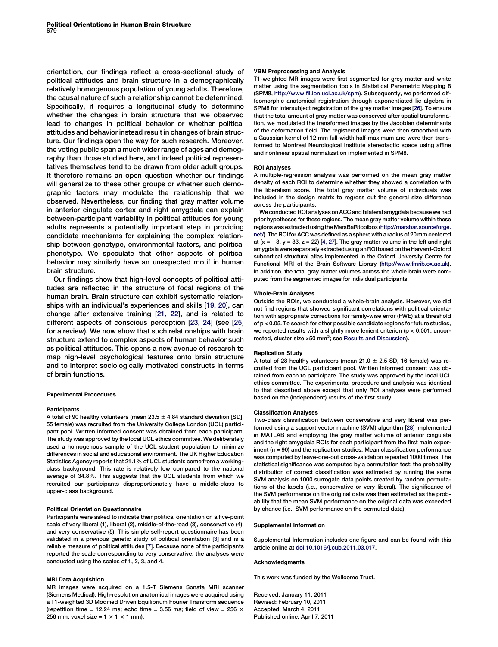<span id="page-2-0"></span>orientation, our findings reflect a cross-sectional study of political attitudes and brain structure in a demographically relatively homogenous population of young adults. Therefore, the causal nature of such a relationship cannot be determined. Specifically, it requires a longitudinal study to determine whether the changes in brain structure that we observed lead to changes in political behavior or whether political attitudes and behavior instead result in changes of brain structure. Our findings open the way for such research. Moreover, the voting public span a much wider range of ages and demography than those studied here, and indeed political representatives themselves tend to be drawn from older adult groups. It therefore remains an open question whether our findings will generalize to these other groups or whether such demographic factors may modulate the relationship that we observed. Nevertheless, our finding that gray matter volume in anterior cingulate cortex and right amygdala can explain between-participant variability in political attitudes for young adults represents a potentially important step in providing candidate mechanisms for explaining the complex relationship between genotype, environmental factors, and political phenotype. We speculate that other aspects of political behavior may similarly have an unexpected motif in human brain structure.

Our findings show that high-level concepts of political attitudes are reflected in the structure of focal regions of the human brain. Brain structure can exhibit systematic relationships with an individual's experiences and skills [\[19, 20\]](#page-3-0), can change after extensive training [\[21, 22](#page-3-0)], and is related to different aspects of conscious perception [[23, 24](#page-3-0)] (see [[25](#page-3-0)] for a review). We now show that such relationships with brain structure extend to complex aspects of human behavior such as political attitudes. This opens a new avenue of research to map high-level psychological features onto brain structure and to interpret sociologically motivated constructs in terms of brain functions.

## Experimental Procedures

#### **Participants**

A total of 90 healthy volunteers (mean  $23.5 \pm 4.84$  standard deviation [SD], 55 female) was recruited from the University College London (UCL) participant pool. Written informed consent was obtained from each participant. The study was approved by the local UCL ethics committee. We deliberately used a homogenous sample of the UCL student population to minimize differences in social and educational environment. The UK Higher Education Statistics Agency reports that 21.1% of UCL students come from a workingclass background. This rate is relatively low compared to the national average of 34.8%. This suggests that the UCL students from which we recruited our participants disproportionately have a middle-class to upper-class background.

## Political Orientation Questionnaire

Participants were asked to indicate their political orientation on a five-point scale of very liberal (1), liberal (2), middle-of-the-road (3), conservative (4), and very conservative (5). This simple self-report questionnaire has been validated in a previous genetic study of political orientation [\[3](#page-3-0)] and is a reliable measure of political attitudes [\[7\]](#page-3-0). Because none of the participants reported the scale corresponding to very conservative, the analyses were conducted using the scales of 1, 2, 3, and 4.

### MRI Data Acquisition

MR images were acquired on a 1.5-T Siemens Sonata MRI scanner (Siemens Medical). High-resolution anatomical images were acquired using a T1-weighted 3D Modified Driven Equilibrium Fourier Transform sequence (repetition time = 12.24 ms; echo time = 3.56 ms; field of view = 256  $\times$ 256 mm; voxel size =  $1 \times 1 \times 1$  mm).

#### VBM Preprocessing and Analysis

T1-weighted MR images were first segmented for grey matter and white matter using the segmentation tools in Statistical Parametric Mapping 8 (SPM8, <http://www.fil.ion.ucl.ac.uk/spm>). Subsequently, we performed diffeomorphic anatomical registration through exponentiated lie algebra in SPM8 for intersubiect registration of the grey matter images [[26](#page-3-0)]. To ensure that the total amount of gray matter was conserved after spatial transformation, we modulated the transformed images by the Jacobian determinants of the deformation field .The registered images were then smoothed with a Gaussian kernel of 12 mm full-width half-maximum and were then transformed to Montreal Neurological Institute stereotactic space using affine and nonlinear spatial normalization implemented in SPM8.

#### ROI Analyses

A multiple-regression analysis was performed on the mean gray matter density of each ROI to determine whether they showed a correlation with the liberalism score. The total gray matter volume of individuals was included in the design matrix to regress out the general size difference across the participants.

We conducted ROI analyses on ACC and bilateral amygdala because we had prior hypotheses for these regions. The mean gray matter volume within these regions was extracted using the MarsBaR toolbox [\(http://marsbar.sourceforge.](http://marsbar.sourceforge.net/) [net/\)](http://marsbar.sourceforge.net/). The ROI for ACC was defined as a sphere with a radius of 20 mm centered at  $(x = -3, y = 33, z = 22)$  [[4, 27\]](#page-3-0). The gray matter volume in the left and right amygdala were separately extracted using anROI based on the Harvard-Oxford subcortical structural atlas implemented in the Oxford University Centre for Functional MRI of the Brain Software Library [\(http://www.fmrib.ox.ac.uk\)](http://www.fmrib.ox.ac.uk). In addition, the total gray matter volumes across the whole brain were computed from the segmented images for individual participants.

#### Whole-Brain Analyses

Outside the ROIs, we conducted a whole-brain analysis. However, we did not find regions that showed significant correlations with political orientation with appropriate corrections for family-wise error (FWE) at a threshold of p < 0.05. To search for other possible candidate regions for future studies, we reported results with a slightly more lenient criterion ( $p < 0.001$ , uncor-rected, cluster size >50 mm<sup>3</sup>; see [Results and Discussion](#page-0-0)).

### Replication Study

A total of 28 healthy volunteers (mean 21.0  $\pm$  2.5 SD, 16 female) was recruited from the UCL participant pool. Written informed consent was obtained from each to participate. The study was approved by the local UCL ethics committee. The experimental procedure and analysis was identical to that described above except that only ROI analyses were performed based on the (independent) results of the first study.

#### Classification Analyses

Two-class classification between conservative and very liberal was performed using a support vector machine (SVM) algorithm [[28](#page-3-0)] implemented in MATLAB and employing the gray matter volume of anterior cingulate and the right amygdala ROIs for each participant from the first main experiment (n = 90) and the replication studies. Mean classification performance was computed by leave-one-out cross-validation repeated 1000 times. The statistical significance was computed by a permutation test: the probability distribution of correct classification was estimated by running the same SVM analysis on 1000 surrogate data points created by random permutations of the labels (i.e., conservative or very liberal). The significance of the SVM performance on the original data was then estimated as the probability that the mean SVM performance on the original data was exceeded by chance (i.e., SVM performance on the permuted data).

#### Supplemental Information

Supplemental Information includes one figure and can be found with this article online at [doi:10.1016/j.cub.2011.03.017.](http://dx.doi.org/doi:10.1016/j.cub.2011.03.017)

#### **Acknowledaments**

This work was funded by the Wellcome Trust.

Received: January 11, 2011 Revised: February 10, 2011 Accepted: March 4, 2011 Published online: April 7, 2011